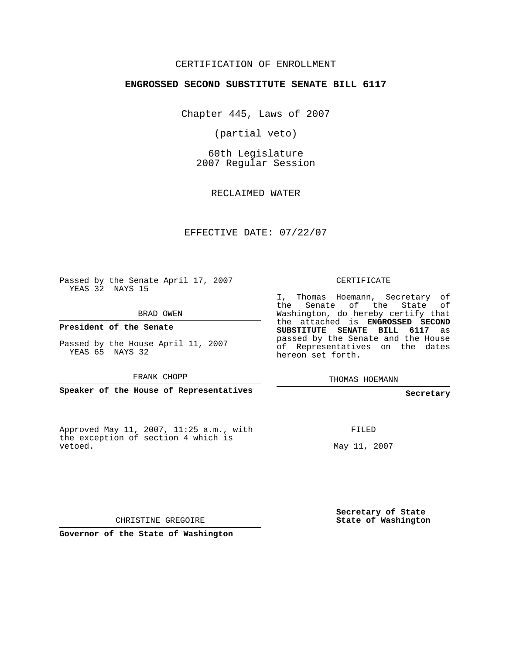## CERTIFICATION OF ENROLLMENT

## **ENGROSSED SECOND SUBSTITUTE SENATE BILL 6117**

Chapter 445, Laws of 2007

(partial veto)

60th Legislature 2007 Regular Session

RECLAIMED WATER

EFFECTIVE DATE: 07/22/07

Passed by the Senate April 17, 2007 YEAS 32 NAYS 15

BRAD OWEN

**President of the Senate**

Passed by the House April 11, 2007 YEAS 65 NAYS 32

FRANK CHOPP

**Speaker of the House of Representatives**

Approved May 11, 2007, 11:25 a.m., with the exception of section 4 which is vetoed.

CERTIFICATE

I, Thomas Hoemann, Secretary of the Senate of the State of Washington, do hereby certify that the attached is **ENGROSSED SECOND SUBSTITUTE SENATE BILL 6117** as passed by the Senate and the House of Representatives on the dates hereon set forth.

THOMAS HOEMANN

**Secretary**

FILED

May 11, 2007

**Secretary of State State of Washington**

CHRISTINE GREGOIRE

**Governor of the State of Washington**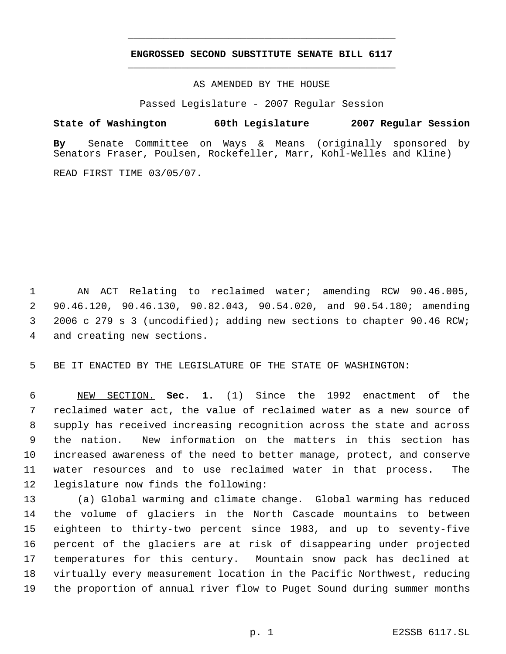## **ENGROSSED SECOND SUBSTITUTE SENATE BILL 6117** \_\_\_\_\_\_\_\_\_\_\_\_\_\_\_\_\_\_\_\_\_\_\_\_\_\_\_\_\_\_\_\_\_\_\_\_\_\_\_\_\_\_\_\_\_

\_\_\_\_\_\_\_\_\_\_\_\_\_\_\_\_\_\_\_\_\_\_\_\_\_\_\_\_\_\_\_\_\_\_\_\_\_\_\_\_\_\_\_\_\_

AS AMENDED BY THE HOUSE

Passed Legislature - 2007 Regular Session

## **State of Washington 60th Legislature 2007 Regular Session**

**By** Senate Committee on Ways & Means (originally sponsored by Senators Fraser, Poulsen, Rockefeller, Marr, Kohl-Welles and Kline)

READ FIRST TIME 03/05/07.

 AN ACT Relating to reclaimed water; amending RCW 90.46.005, 90.46.120, 90.46.130, 90.82.043, 90.54.020, and 90.54.180; amending 2006 c 279 s 3 (uncodified); adding new sections to chapter 90.46 RCW; and creating new sections.

BE IT ENACTED BY THE LEGISLATURE OF THE STATE OF WASHINGTON:

 NEW SECTION. **Sec. 1.** (1) Since the 1992 enactment of the reclaimed water act, the value of reclaimed water as a new source of supply has received increasing recognition across the state and across the nation. New information on the matters in this section has increased awareness of the need to better manage, protect, and conserve water resources and to use reclaimed water in that process. The legislature now finds the following:

 (a) Global warming and climate change. Global warming has reduced the volume of glaciers in the North Cascade mountains to between eighteen to thirty-two percent since 1983, and up to seventy-five percent of the glaciers are at risk of disappearing under projected temperatures for this century. Mountain snow pack has declined at virtually every measurement location in the Pacific Northwest, reducing the proportion of annual river flow to Puget Sound during summer months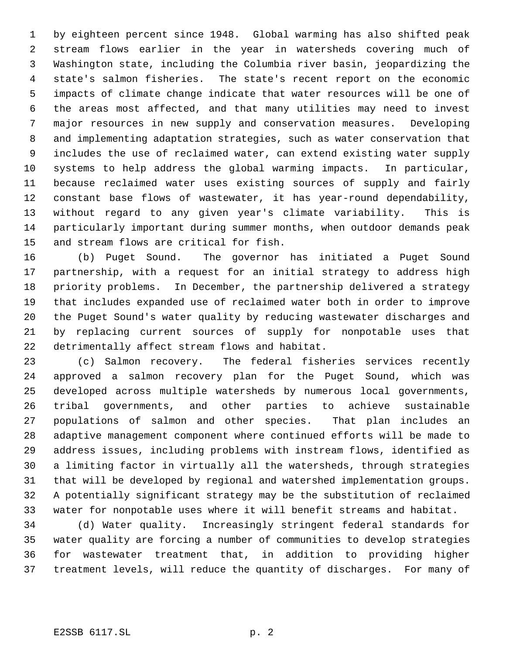by eighteen percent since 1948. Global warming has also shifted peak stream flows earlier in the year in watersheds covering much of Washington state, including the Columbia river basin, jeopardizing the state's salmon fisheries. The state's recent report on the economic impacts of climate change indicate that water resources will be one of the areas most affected, and that many utilities may need to invest major resources in new supply and conservation measures. Developing and implementing adaptation strategies, such as water conservation that includes the use of reclaimed water, can extend existing water supply systems to help address the global warming impacts. In particular, because reclaimed water uses existing sources of supply and fairly constant base flows of wastewater, it has year-round dependability, without regard to any given year's climate variability. This is particularly important during summer months, when outdoor demands peak and stream flows are critical for fish.

 (b) Puget Sound. The governor has initiated a Puget Sound partnership, with a request for an initial strategy to address high priority problems. In December, the partnership delivered a strategy that includes expanded use of reclaimed water both in order to improve the Puget Sound's water quality by reducing wastewater discharges and by replacing current sources of supply for nonpotable uses that detrimentally affect stream flows and habitat.

 (c) Salmon recovery. The federal fisheries services recently approved a salmon recovery plan for the Puget Sound, which was developed across multiple watersheds by numerous local governments, tribal governments, and other parties to achieve sustainable populations of salmon and other species. That plan includes an adaptive management component where continued efforts will be made to address issues, including problems with instream flows, identified as a limiting factor in virtually all the watersheds, through strategies that will be developed by regional and watershed implementation groups. A potentially significant strategy may be the substitution of reclaimed water for nonpotable uses where it will benefit streams and habitat.

 (d) Water quality. Increasingly stringent federal standards for water quality are forcing a number of communities to develop strategies for wastewater treatment that, in addition to providing higher treatment levels, will reduce the quantity of discharges. For many of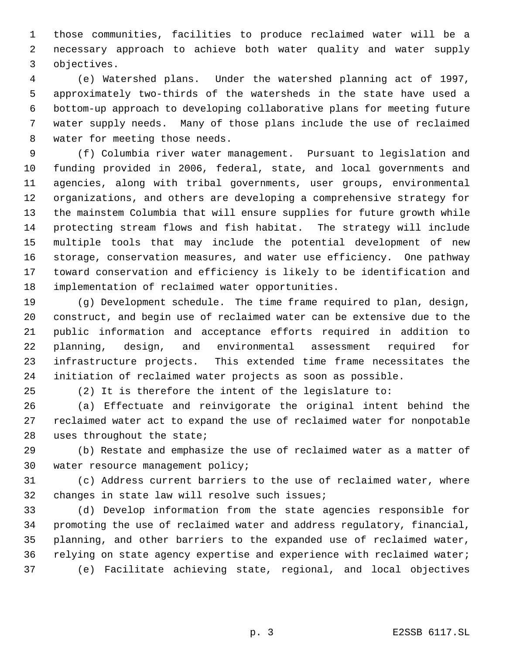those communities, facilities to produce reclaimed water will be a necessary approach to achieve both water quality and water supply objectives.

 (e) Watershed plans. Under the watershed planning act of 1997, approximately two-thirds of the watersheds in the state have used a bottom-up approach to developing collaborative plans for meeting future water supply needs. Many of those plans include the use of reclaimed water for meeting those needs.

 (f) Columbia river water management. Pursuant to legislation and funding provided in 2006, federal, state, and local governments and agencies, along with tribal governments, user groups, environmental organizations, and others are developing a comprehensive strategy for the mainstem Columbia that will ensure supplies for future growth while protecting stream flows and fish habitat. The strategy will include multiple tools that may include the potential development of new storage, conservation measures, and water use efficiency. One pathway toward conservation and efficiency is likely to be identification and implementation of reclaimed water opportunities.

 (g) Development schedule. The time frame required to plan, design, construct, and begin use of reclaimed water can be extensive due to the public information and acceptance efforts required in addition to planning, design, and environmental assessment required for infrastructure projects. This extended time frame necessitates the initiation of reclaimed water projects as soon as possible.

(2) It is therefore the intent of the legislature to:

 (a) Effectuate and reinvigorate the original intent behind the reclaimed water act to expand the use of reclaimed water for nonpotable uses throughout the state;

 (b) Restate and emphasize the use of reclaimed water as a matter of water resource management policy;

 (c) Address current barriers to the use of reclaimed water, where changes in state law will resolve such issues;

 (d) Develop information from the state agencies responsible for promoting the use of reclaimed water and address regulatory, financial, planning, and other barriers to the expanded use of reclaimed water, relying on state agency expertise and experience with reclaimed water; (e) Facilitate achieving state, regional, and local objectives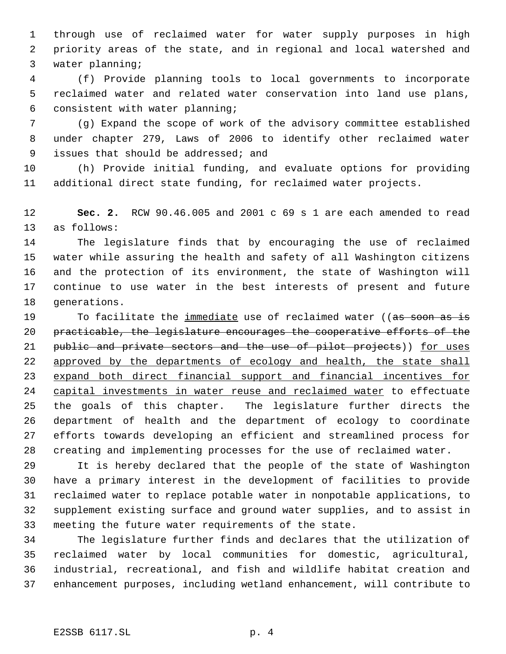through use of reclaimed water for water supply purposes in high priority areas of the state, and in regional and local watershed and water planning;

 (f) Provide planning tools to local governments to incorporate reclaimed water and related water conservation into land use plans, consistent with water planning;

 (g) Expand the scope of work of the advisory committee established under chapter 279, Laws of 2006 to identify other reclaimed water issues that should be addressed; and

 (h) Provide initial funding, and evaluate options for providing additional direct state funding, for reclaimed water projects.

 **Sec. 2.** RCW 90.46.005 and 2001 c 69 s 1 are each amended to read as follows:

 The legislature finds that by encouraging the use of reclaimed water while assuring the health and safety of all Washington citizens and the protection of its environment, the state of Washington will continue to use water in the best interests of present and future generations.

19 To facilitate the immediate use of reclaimed water ((as soon as is practicable, the legislature encourages the cooperative efforts of the 21 public and private sectors and the use of pilot projects)) for uses 22 approved by the departments of ecology and health, the state shall expand both direct financial support and financial incentives for capital investments in water reuse and reclaimed water to effectuate the goals of this chapter. The legislature further directs the department of health and the department of ecology to coordinate efforts towards developing an efficient and streamlined process for creating and implementing processes for the use of reclaimed water.

 It is hereby declared that the people of the state of Washington have a primary interest in the development of facilities to provide reclaimed water to replace potable water in nonpotable applications, to supplement existing surface and ground water supplies, and to assist in meeting the future water requirements of the state.

 The legislature further finds and declares that the utilization of reclaimed water by local communities for domestic, agricultural, industrial, recreational, and fish and wildlife habitat creation and enhancement purposes, including wetland enhancement, will contribute to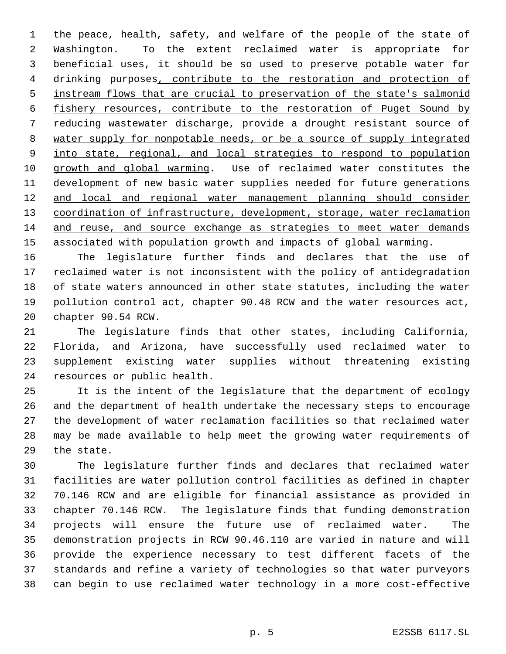the peace, health, safety, and welfare of the people of the state of Washington. To the extent reclaimed water is appropriate for beneficial uses, it should be so used to preserve potable water for drinking purposes, contribute to the restoration and protection of instream flows that are crucial to preservation of the state's salmonid fishery resources, contribute to the restoration of Puget Sound by reducing wastewater discharge, provide a drought resistant source of water supply for nonpotable needs, or be a source of supply integrated into state, regional, and local strategies to respond to population growth and global warming. Use of reclaimed water constitutes the development of new basic water supplies needed for future generations 12 and local and regional water management planning should consider 13 coordination of infrastructure, development, storage, water reclamation and reuse, and source exchange as strategies to meet water demands associated with population growth and impacts of global warming.

 The legislature further finds and declares that the use of reclaimed water is not inconsistent with the policy of antidegradation 18 of state waters announced in other state statutes, including the water pollution control act, chapter 90.48 RCW and the water resources act, chapter 90.54 RCW.

 The legislature finds that other states, including California, Florida, and Arizona, have successfully used reclaimed water to supplement existing water supplies without threatening existing resources or public health.

 It is the intent of the legislature that the department of ecology and the department of health undertake the necessary steps to encourage the development of water reclamation facilities so that reclaimed water may be made available to help meet the growing water requirements of the state.

 The legislature further finds and declares that reclaimed water facilities are water pollution control facilities as defined in chapter 70.146 RCW and are eligible for financial assistance as provided in chapter 70.146 RCW. The legislature finds that funding demonstration projects will ensure the future use of reclaimed water. The demonstration projects in RCW 90.46.110 are varied in nature and will provide the experience necessary to test different facets of the standards and refine a variety of technologies so that water purveyors can begin to use reclaimed water technology in a more cost-effective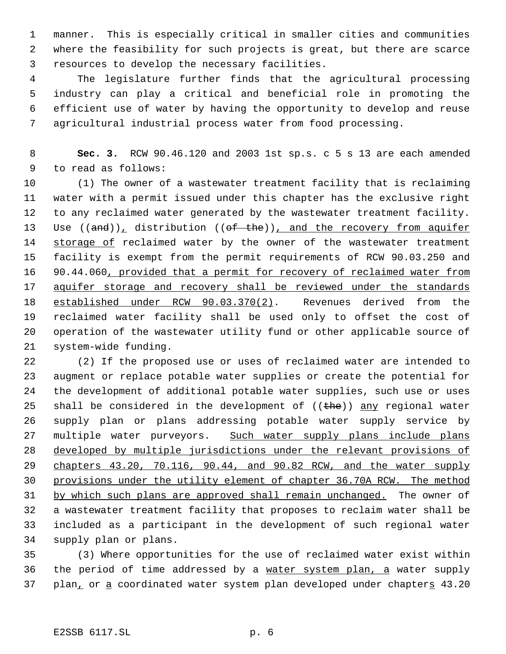manner. This is especially critical in smaller cities and communities where the feasibility for such projects is great, but there are scarce resources to develop the necessary facilities.

 The legislature further finds that the agricultural processing industry can play a critical and beneficial role in promoting the efficient use of water by having the opportunity to develop and reuse agricultural industrial process water from food processing.

 **Sec. 3.** RCW 90.46.120 and 2003 1st sp.s. c 5 s 13 are each amended to read as follows:

 (1) The owner of a wastewater treatment facility that is reclaiming water with a permit issued under this chapter has the exclusive right to any reclaimed water generated by the wastewater treatment facility. 13 Use ((and)), distribution ((of the)), and the recovery from aquifer 14 storage of reclaimed water by the owner of the wastewater treatment facility is exempt from the permit requirements of RCW 90.03.250 and 16 90.44.060, provided that a permit for recovery of reclaimed water from aquifer storage and recovery shall be reviewed under the standards established under RCW 90.03.370(2). Revenues derived from the reclaimed water facility shall be used only to offset the cost of operation of the wastewater utility fund or other applicable source of system-wide funding.

 (2) If the proposed use or uses of reclaimed water are intended to augment or replace potable water supplies or create the potential for the development of additional potable water supplies, such use or uses 25 shall be considered in the development of  $((the h e))$  any regional water supply plan or plans addressing potable water supply service by 27 multiple water purveyors. Such water supply plans include plans developed by multiple jurisdictions under the relevant provisions of chapters 43.20, 70.116, 90.44, and 90.82 RCW, and the water supply provisions under the utility element of chapter 36.70A RCW. The method by which such plans are approved shall remain unchanged. The owner of a wastewater treatment facility that proposes to reclaim water shall be included as a participant in the development of such regional water supply plan or plans.

 (3) Where opportunities for the use of reclaimed water exist within the period of time addressed by a water system plan, a water supply 37 plan<sub>t</sub> or a coordinated water system plan developed under chapters 43.20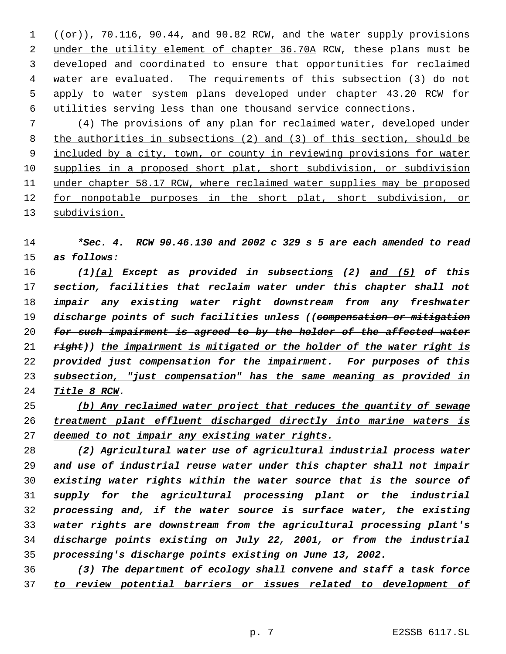$((\theta \cdot \mathbf{r}))$ , 70.116, 90.44, and 90.82 RCW, and the water supply provisions 2 under the utility element of chapter 36.70A RCW, these plans must be developed and coordinated to ensure that opportunities for reclaimed water are evaluated. The requirements of this subsection (3) do not apply to water system plans developed under chapter 43.20 RCW for utilities serving less than one thousand service connections.

 (4) The provisions of any plan for reclaimed water, developed under the authorities in subsections (2) and (3) of this section, should be included by a city, town, or county in reviewing provisions for water supplies in a proposed short plat, short subdivision, or subdivision under chapter 58.17 RCW, where reclaimed water supplies may be proposed 12 for nonpotable purposes in the short plat, short subdivision, or subdivision.

 *\*Sec. 4. RCW 90.46.130 and 2002 c 329 s 5 are each amended to read as follows:*

 *(1)(a) Except as provided in subsections (2) and (5) of this section, facilities that reclaim water under this chapter shall not impair any existing water right downstream from any freshwater discharge points of such facilities unless ((compensation or mitigation for such impairment is agreed to by the holder of the affected water right)) the impairment is mitigated or the holder of the water right is provided just compensation for the impairment. For purposes of this subsection, "just compensation" has the same meaning as provided in Title 8 RCW.*

 *(b) Any reclaimed water project that reduces the quantity of sewage treatment plant effluent discharged directly into marine waters is deemed to not impair any existing water rights.*

 *(2) Agricultural water use of agricultural industrial process water and use of industrial reuse water under this chapter shall not impair existing water rights within the water source that is the source of supply for the agricultural processing plant or the industrial processing and, if the water source is surface water, the existing water rights are downstream from the agricultural processing plant's discharge points existing on July 22, 2001, or from the industrial processing's discharge points existing on June 13, 2002.*

 *(3) The department of ecology shall convene and staff a task force to review potential barriers or issues related to development of*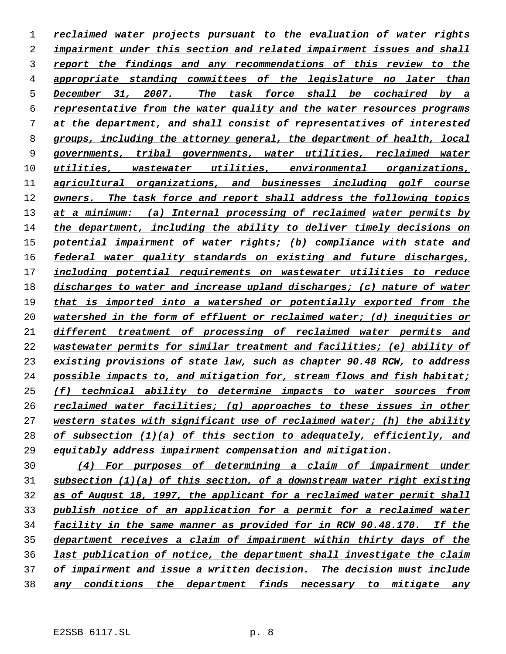*reclaimed water projects pursuant to the evaluation of water rights impairment under this section and related impairment issues and shall report the findings and any recommendations of this review to the appropriate standing committees of the legislature no later than December 31, 2007. The task force shall be cochaired by a representative from the water quality and the water resources programs at the department, and shall consist of representatives of interested groups, including the attorney general, the department of health, local governments, tribal governments, water utilities, reclaimed water utilities, wastewater utilities, environmental organizations, agricultural organizations, and businesses including golf course owners. The task force and report shall address the following topics at a minimum: (a) Internal processing of reclaimed water permits by the department, including the ability to deliver timely decisions on potential impairment of water rights; (b) compliance with state and federal water quality standards on existing and future discharges, including potential requirements on wastewater utilities to reduce discharges to water and increase upland discharges; (c) nature of water that is imported into a watershed or potentially exported from the watershed in the form of effluent or reclaimed water; (d) inequities or different treatment of processing of reclaimed water permits and wastewater permits for similar treatment and facilities; (e) ability of existing provisions of state law, such as chapter 90.48 RCW, to address possible impacts to, and mitigation for, stream flows and fish habitat; (f) technical ability to determine impacts to water sources from reclaimed water facilities; (g) approaches to these issues in other western states with significant use of reclaimed water; (h) the ability of subsection (1)(a) of this section to adequately, efficiently, and equitably address impairment compensation and mitigation.*

 *(4) For purposes of determining a claim of impairment under subsection (1)(a) of this section, of a downstream water right existing as of August 18, 1997, the applicant for a reclaimed water permit shall publish notice of an application for a permit for a reclaimed water facility in the same manner as provided for in RCW 90.48.170. If the department receives a claim of impairment within thirty days of the last publication of notice, the department shall investigate the claim of impairment and issue a written decision. The decision must include any conditions the department finds necessary to mitigate any*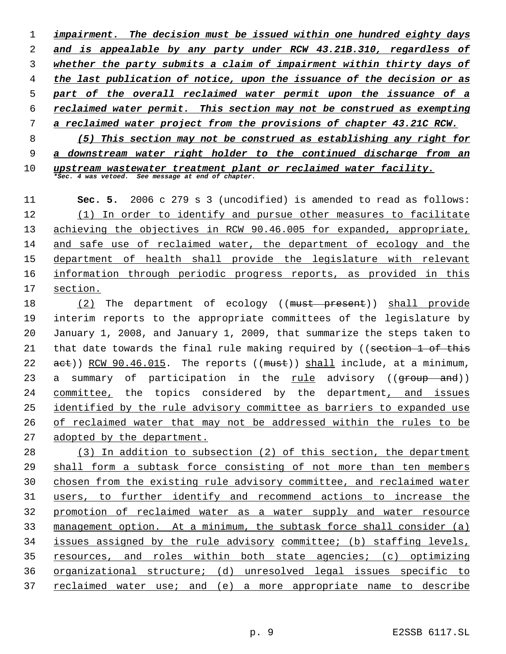*impairment. The decision must be issued within one hundred eighty days and is appealable by any party under RCW 43.21B.310, regardless of whether the party submits a claim of impairment within thirty days of the last publication of notice, upon the issuance of the decision or as part of the overall reclaimed water permit upon the issuance of a reclaimed water permit. This section may not be construed as exempting a reclaimed water project from the provisions of chapter 43.21C RCW. (5) This section may not be construed as establishing any right for a downstream water right holder to the continued discharge from an*

 *upstream wastewater treatment plant or reclaimed water facility. \*Sec. 4 was vetoed. See message at end of chapter.*

 **Sec. 5.** 2006 c 279 s 3 (uncodified) is amended to read as follows: (1) In order to identify and pursue other measures to facilitate achieving the objectives in RCW 90.46.005 for expanded, appropriate, and safe use of reclaimed water, the department of ecology and the department of health shall provide the legislature with relevant 16 information through periodic progress reports, as provided in this section.

18 (2) The department of ecology ((must present)) shall provide interim reports to the appropriate committees of the legislature by January 1, 2008, and January 1, 2009, that summarize the steps taken to 21 that date towards the final rule making required by ((section 1 of this 22  $act)$ ) RCW 90.46.015. The reports (( $must$ )) shall include, at a minimum, 23 a summary of participation in the rule advisory ((<del>group and</del>)) committee, the topics considered by the department, and issues 25 identified by the rule advisory committee as barriers to expanded use of reclaimed water that may not be addressed within the rules to be adopted by the department.

 (3) In addition to subsection (2) of this section, the department shall form a subtask force consisting of not more than ten members chosen from the existing rule advisory committee, and reclaimed water users, to further identify and recommend actions to increase the promotion of reclaimed water as a water supply and water resource management option. At a minimum, the subtask force shall consider (a) issues assigned by the rule advisory committee; (b) staffing levels, resources, and roles within both state agencies; (c) optimizing organizational structure; (d) unresolved legal issues specific to reclaimed water use; and (e) a more appropriate name to describe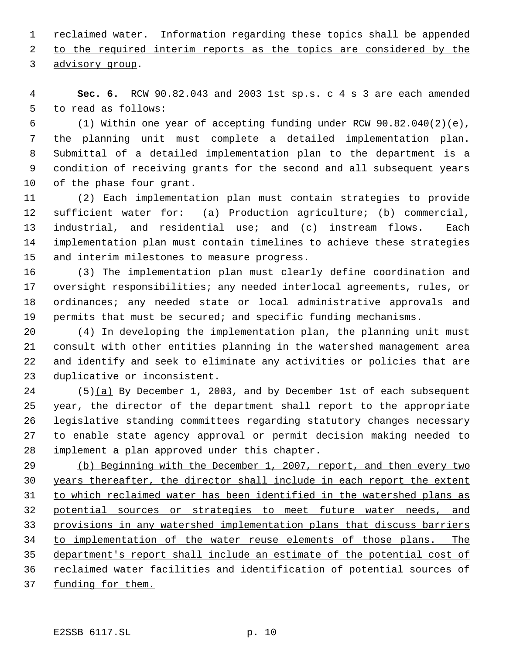1 reclaimed water. Information regarding these topics shall be appended

 to the required interim reports as the topics are considered by the advisory group.

 **Sec. 6.** RCW 90.82.043 and 2003 1st sp.s. c 4 s 3 are each amended to read as follows:

 (1) Within one year of accepting funding under RCW 90.82.040(2)(e), the planning unit must complete a detailed implementation plan. Submittal of a detailed implementation plan to the department is a condition of receiving grants for the second and all subsequent years of the phase four grant.

 (2) Each implementation plan must contain strategies to provide sufficient water for: (a) Production agriculture; (b) commercial, industrial, and residential use; and (c) instream flows. Each implementation plan must contain timelines to achieve these strategies and interim milestones to measure progress.

 (3) The implementation plan must clearly define coordination and oversight responsibilities; any needed interlocal agreements, rules, or 18 ordinances; any needed state or local administrative approvals and permits that must be secured; and specific funding mechanisms.

 (4) In developing the implementation plan, the planning unit must consult with other entities planning in the watershed management area and identify and seek to eliminate any activities or policies that are duplicative or inconsistent.

24 (5)(a) By December 1, 2003, and by December 1st of each subsequent year, the director of the department shall report to the appropriate legislative standing committees regarding statutory changes necessary to enable state agency approval or permit decision making needed to implement a plan approved under this chapter.

 (b) Beginning with the December 1, 2007, report, and then every two years thereafter, the director shall include in each report the extent to which reclaimed water has been identified in the watershed plans as potential sources or strategies to meet future water needs, and provisions in any watershed implementation plans that discuss barriers 34 to implementation of the water reuse elements of those plans. The department's report shall include an estimate of the potential cost of 36 reclaimed water facilities and identification of potential sources of funding for them.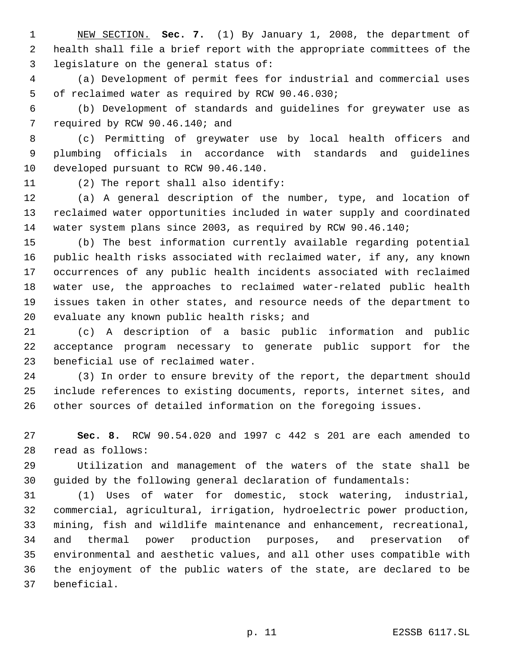NEW SECTION. **Sec. 7.** (1) By January 1, 2008, the department of health shall file a brief report with the appropriate committees of the legislature on the general status of:

 (a) Development of permit fees for industrial and commercial uses of reclaimed water as required by RCW 90.46.030;

 (b) Development of standards and guidelines for greywater use as required by RCW 90.46.140; and

 (c) Permitting of greywater use by local health officers and plumbing officials in accordance with standards and guidelines developed pursuant to RCW 90.46.140.

(2) The report shall also identify:

 (a) A general description of the number, type, and location of reclaimed water opportunities included in water supply and coordinated water system plans since 2003, as required by RCW 90.46.140;

 (b) The best information currently available regarding potential public health risks associated with reclaimed water, if any, any known occurrences of any public health incidents associated with reclaimed water use, the approaches to reclaimed water-related public health issues taken in other states, and resource needs of the department to evaluate any known public health risks; and

 (c) A description of a basic public information and public acceptance program necessary to generate public support for the beneficial use of reclaimed water.

 (3) In order to ensure brevity of the report, the department should include references to existing documents, reports, internet sites, and other sources of detailed information on the foregoing issues.

 **Sec. 8.** RCW 90.54.020 and 1997 c 442 s 201 are each amended to read as follows:

 Utilization and management of the waters of the state shall be guided by the following general declaration of fundamentals:

 (1) Uses of water for domestic, stock watering, industrial, commercial, agricultural, irrigation, hydroelectric power production, mining, fish and wildlife maintenance and enhancement, recreational, and thermal power production purposes, and preservation of environmental and aesthetic values, and all other uses compatible with the enjoyment of the public waters of the state, are declared to be beneficial.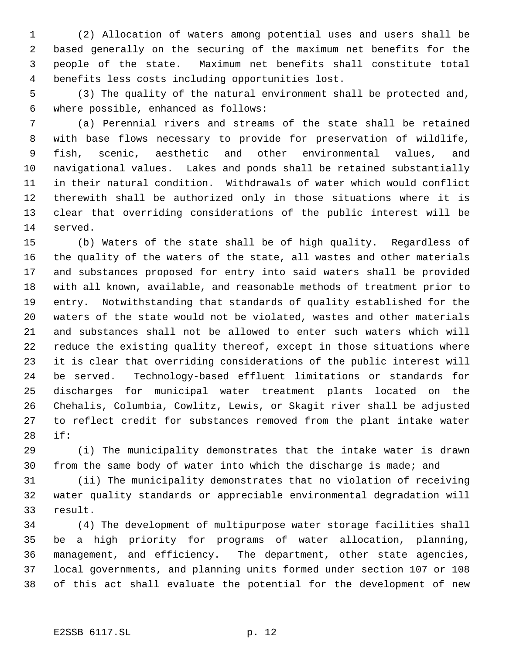(2) Allocation of waters among potential uses and users shall be based generally on the securing of the maximum net benefits for the people of the state. Maximum net benefits shall constitute total benefits less costs including opportunities lost.

 (3) The quality of the natural environment shall be protected and, where possible, enhanced as follows:

 (a) Perennial rivers and streams of the state shall be retained with base flows necessary to provide for preservation of wildlife, fish, scenic, aesthetic and other environmental values, and navigational values. Lakes and ponds shall be retained substantially in their natural condition. Withdrawals of water which would conflict therewith shall be authorized only in those situations where it is clear that overriding considerations of the public interest will be served.

 (b) Waters of the state shall be of high quality. Regardless of the quality of the waters of the state, all wastes and other materials and substances proposed for entry into said waters shall be provided with all known, available, and reasonable methods of treatment prior to entry. Notwithstanding that standards of quality established for the waters of the state would not be violated, wastes and other materials and substances shall not be allowed to enter such waters which will reduce the existing quality thereof, except in those situations where it is clear that overriding considerations of the public interest will be served. Technology-based effluent limitations or standards for discharges for municipal water treatment plants located on the Chehalis, Columbia, Cowlitz, Lewis, or Skagit river shall be adjusted to reflect credit for substances removed from the plant intake water if:

 (i) The municipality demonstrates that the intake water is drawn from the same body of water into which the discharge is made; and

 (ii) The municipality demonstrates that no violation of receiving water quality standards or appreciable environmental degradation will result.

 (4) The development of multipurpose water storage facilities shall be a high priority for programs of water allocation, planning, management, and efficiency. The department, other state agencies, local governments, and planning units formed under section 107 or 108 of this act shall evaluate the potential for the development of new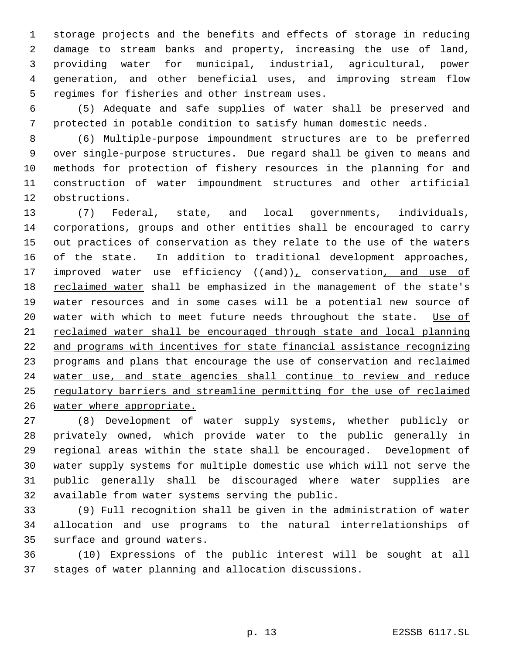storage projects and the benefits and effects of storage in reducing damage to stream banks and property, increasing the use of land, providing water for municipal, industrial, agricultural, power generation, and other beneficial uses, and improving stream flow regimes for fisheries and other instream uses.

 (5) Adequate and safe supplies of water shall be preserved and protected in potable condition to satisfy human domestic needs.

 (6) Multiple-purpose impoundment structures are to be preferred over single-purpose structures. Due regard shall be given to means and methods for protection of fishery resources in the planning for and construction of water impoundment structures and other artificial obstructions.

 (7) Federal, state, and local governments, individuals, corporations, groups and other entities shall be encouraged to carry out practices of conservation as they relate to the use of the waters of the state. In addition to traditional development approaches, 17 improved water use efficiency  $((and))_1$  conservation, and use of 18 reclaimed water shall be emphasized in the management of the state's water resources and in some cases will be a potential new source of 20 water with which to meet future needs throughout the state. Use of reclaimed water shall be encouraged through state and local planning and programs with incentives for state financial assistance recognizing programs and plans that encourage the use of conservation and reclaimed 24 water use, and state agencies shall continue to review and reduce regulatory barriers and streamline permitting for the use of reclaimed water where appropriate.

 (8) Development of water supply systems, whether publicly or privately owned, which provide water to the public generally in regional areas within the state shall be encouraged. Development of water supply systems for multiple domestic use which will not serve the public generally shall be discouraged where water supplies are available from water systems serving the public.

 (9) Full recognition shall be given in the administration of water allocation and use programs to the natural interrelationships of surface and ground waters.

 (10) Expressions of the public interest will be sought at all stages of water planning and allocation discussions.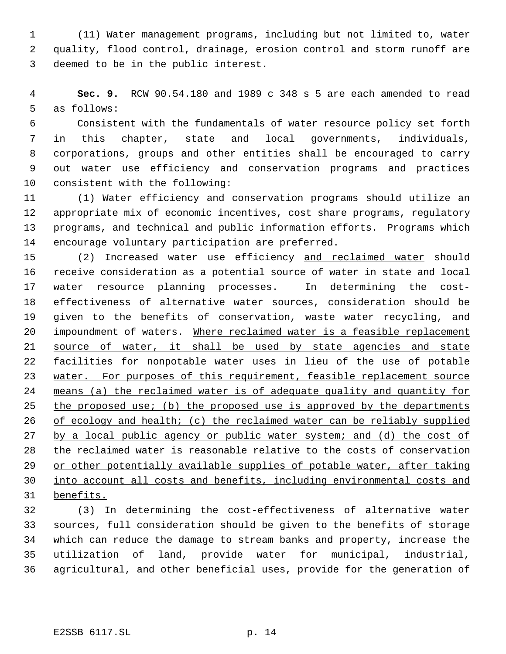(11) Water management programs, including but not limited to, water quality, flood control, drainage, erosion control and storm runoff are deemed to be in the public interest.

 **Sec. 9.** RCW 90.54.180 and 1989 c 348 s 5 are each amended to read as follows:

 Consistent with the fundamentals of water resource policy set forth in this chapter, state and local governments, individuals, corporations, groups and other entities shall be encouraged to carry out water use efficiency and conservation programs and practices consistent with the following:

 (1) Water efficiency and conservation programs should utilize an appropriate mix of economic incentives, cost share programs, regulatory programs, and technical and public information efforts. Programs which encourage voluntary participation are preferred.

 (2) Increased water use efficiency and reclaimed water should receive consideration as a potential source of water in state and local water resource planning processes. In determining the cost- effectiveness of alternative water sources, consideration should be given to the benefits of conservation, waste water recycling, and impoundment of waters. Where reclaimed water is a feasible replacement 21 source of water, it shall be used by state agencies and state facilities for nonpotable water uses in lieu of the use of potable 23 water. For purposes of this requirement, feasible replacement source means (a) the reclaimed water is of adequate quality and quantity for 25 the proposed use; (b) the proposed use is approved by the departments 26 of ecology and health; (c) the reclaimed water can be reliably supplied 27 by a local public agency or public water system; and (d) the cost of the reclaimed water is reasonable relative to the costs of conservation 29 or other potentially available supplies of potable water, after taking into account all costs and benefits, including environmental costs and benefits.

 (3) In determining the cost-effectiveness of alternative water sources, full consideration should be given to the benefits of storage which can reduce the damage to stream banks and property, increase the utilization of land, provide water for municipal, industrial, agricultural, and other beneficial uses, provide for the generation of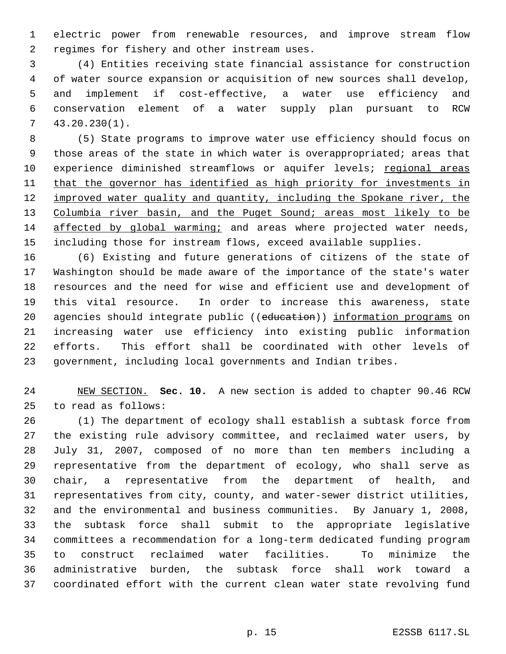electric power from renewable resources, and improve stream flow regimes for fishery and other instream uses.

 (4) Entities receiving state financial assistance for construction of water source expansion or acquisition of new sources shall develop, and implement if cost-effective, a water use efficiency and conservation element of a water supply plan pursuant to RCW 43.20.230(1).

 (5) State programs to improve water use efficiency should focus on those areas of the state in which water is overappropriated; areas that 10 experience diminished streamflows or aquifer levels; regional areas 11 that the governor has identified as high priority for investments in 12 improved water quality and quantity, including the Spokane river, the 13 Columbia river basin, and the Puget Sound; areas most likely to be affected by global warming; and areas where projected water needs, including those for instream flows, exceed available supplies.

 (6) Existing and future generations of citizens of the state of Washington should be made aware of the importance of the state's water resources and the need for wise and efficient use and development of this vital resource. In order to increase this awareness, state 20 agencies should integrate public ((education)) information programs on increasing water use efficiency into existing public information efforts. This effort shall be coordinated with other levels of government, including local governments and Indian tribes.

 NEW SECTION. **Sec. 10.** A new section is added to chapter 90.46 RCW to read as follows:

 (1) The department of ecology shall establish a subtask force from the existing rule advisory committee, and reclaimed water users, by July 31, 2007, composed of no more than ten members including a representative from the department of ecology, who shall serve as chair, a representative from the department of health, and representatives from city, county, and water-sewer district utilities, and the environmental and business communities. By January 1, 2008, the subtask force shall submit to the appropriate legislative committees a recommendation for a long-term dedicated funding program to construct reclaimed water facilities. To minimize the administrative burden, the subtask force shall work toward a coordinated effort with the current clean water state revolving fund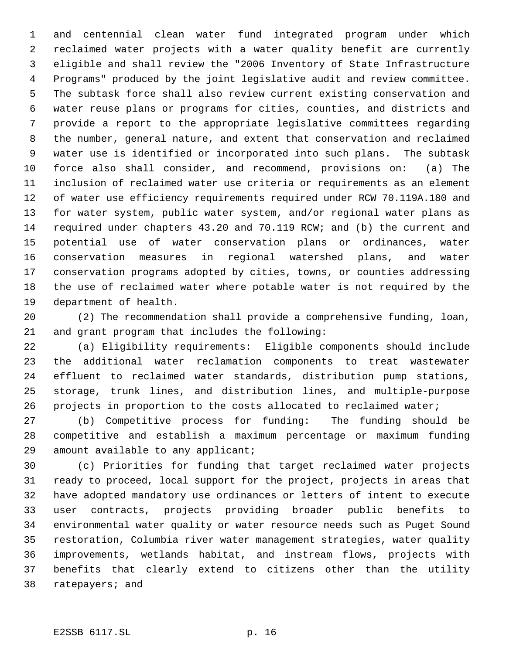and centennial clean water fund integrated program under which reclaimed water projects with a water quality benefit are currently eligible and shall review the "2006 Inventory of State Infrastructure Programs" produced by the joint legislative audit and review committee. The subtask force shall also review current existing conservation and water reuse plans or programs for cities, counties, and districts and provide a report to the appropriate legislative committees regarding the number, general nature, and extent that conservation and reclaimed water use is identified or incorporated into such plans. The subtask force also shall consider, and recommend, provisions on: (a) The inclusion of reclaimed water use criteria or requirements as an element of water use efficiency requirements required under RCW 70.119A.180 and for water system, public water system, and/or regional water plans as required under chapters 43.20 and 70.119 RCW; and (b) the current and potential use of water conservation plans or ordinances, water conservation measures in regional watershed plans, and water conservation programs adopted by cities, towns, or counties addressing the use of reclaimed water where potable water is not required by the department of health.

 (2) The recommendation shall provide a comprehensive funding, loan, and grant program that includes the following:

 (a) Eligibility requirements: Eligible components should include the additional water reclamation components to treat wastewater effluent to reclaimed water standards, distribution pump stations, storage, trunk lines, and distribution lines, and multiple-purpose projects in proportion to the costs allocated to reclaimed water;

 (b) Competitive process for funding: The funding should be competitive and establish a maximum percentage or maximum funding amount available to any applicant;

 (c) Priorities for funding that target reclaimed water projects ready to proceed, local support for the project, projects in areas that have adopted mandatory use ordinances or letters of intent to execute user contracts, projects providing broader public benefits to environmental water quality or water resource needs such as Puget Sound restoration, Columbia river water management strategies, water quality improvements, wetlands habitat, and instream flows, projects with benefits that clearly extend to citizens other than the utility ratepayers; and